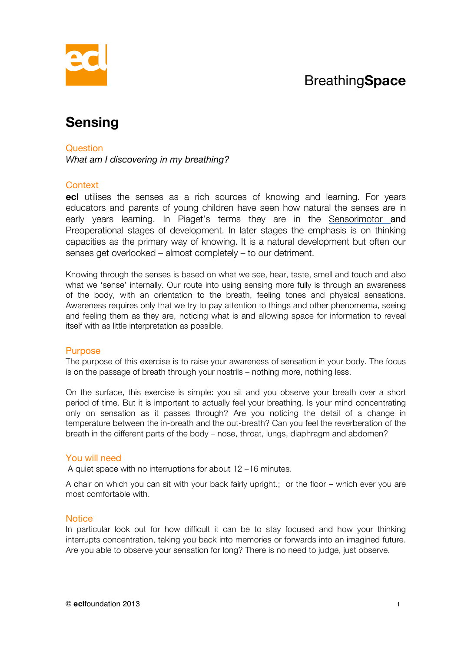## Breathing**Space**



# **Sensing**

#### **Question**

*What am I discovering in my breathing?* 

## Context

**ecl** utilises the senses as a rich sources of knowing and learning. For years educators and parents of young children have seen how natural the senses are in early years learning. In Piaget's terms they are in the Sensorimotor and Preoperational stages of development. In later stages the emphasis is on thinking capacities as the primary way of knowing. It is a natural development but often our senses get overlooked – almost completely – to our detriment.

Knowing through the senses is based on what we see, hear, taste, smell and touch and also what we 'sense' internally. Our route into using sensing more fully is through an awareness of the body, with an orientation to the breath, feeling tones and physical sensations. Awareness requires only that we try to pay attention to things and other phenomema, seeing and feeling them as they are, noticing what is and allowing space for information to reveal itself with as little interpretation as possible.

#### **Purpose**

The purpose of this exercise is to raise your awareness of sensation in your body. The focus is on the passage of breath through your nostrils – nothing more, nothing less.

On the surface, this exercise is simple: you sit and you observe your breath over a short period of time. But it is important to actually feel your breathing. Is your mind concentrating only on sensation as it passes through? Are you noticing the detail of a change in temperature between the in-breath and the out-breath? Can you feel the reverberation of the breath in the different parts of the body – nose, throat, lungs, diaphragm and abdomen?

## You will need

A quiet space with no interruptions for about 12 –16 minutes.

A chair on which you can sit with your back fairly upright.; or the floor – which ever you are most comfortable with.

#### **Notice**

In particular look out for how difficult it can be to stay focused and how your thinking interrupts concentration, taking you back into memories or forwards into an imagined future. Are you able to observe your sensation for long? There is no need to judge, just observe.